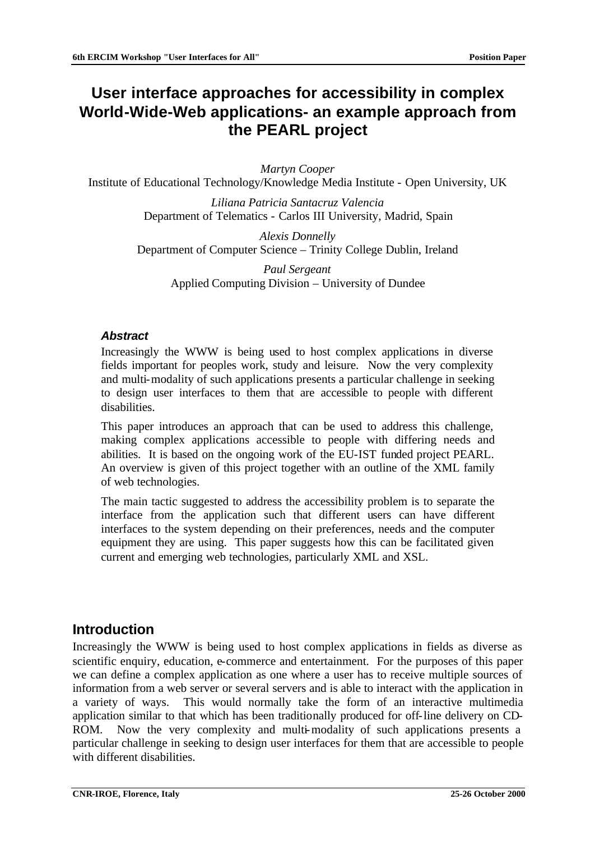# **User interface approaches for accessibility in complex World-Wide-Web applications- an example approach from the PEARL project**

*Martyn Cooper*

Institute of Educational Technology/Knowledge Media Institute - Open University, UK

*Liliana Patricia Santacruz Valencia* Department of Telematics - Carlos III University, Madrid, Spain

*Alexis Donnelly* Department of Computer Science – Trinity College Dublin, Ireland

> *Paul Sergeant* Applied Computing Division – University of Dundee

#### *Abstract*

Increasingly the WWW is being used to host complex applications in diverse fields important for peoples work, study and leisure. Now the very complexity and multi-modality of such applications presents a particular challenge in seeking to design user interfaces to them that are accessible to people with different disabilities.

This paper introduces an approach that can be used to address this challenge, making complex applications accessible to people with differing needs and abilities. It is based on the ongoing work of the EU-IST funded project PEARL. An overview is given of this project together with an outline of the XML family of web technologies.

The main tactic suggested to address the accessibility problem is to separate the interface from the application such that different users can have different interfaces to the system depending on their preferences, needs and the computer equipment they are using. This paper suggests how this can be facilitated given current and emerging web technologies, particularly XML and XSL.

# **Introduction**

Increasingly the WWW is being used to host complex applications in fields as diverse as scientific enquiry, education, e-commerce and entertainment. For the purposes of this paper we can define a complex application as one where a user has to receive multiple sources of information from a web server or several servers and is able to interact with the application in a variety of ways. This would normally take the form of an interactive multimedia application similar to that which has been traditionally produced for off-line delivery on CD-ROM. Now the very complexity and multi-modality of such applications presents a particular challenge in seeking to design user interfaces for them that are accessible to people with different disabilities.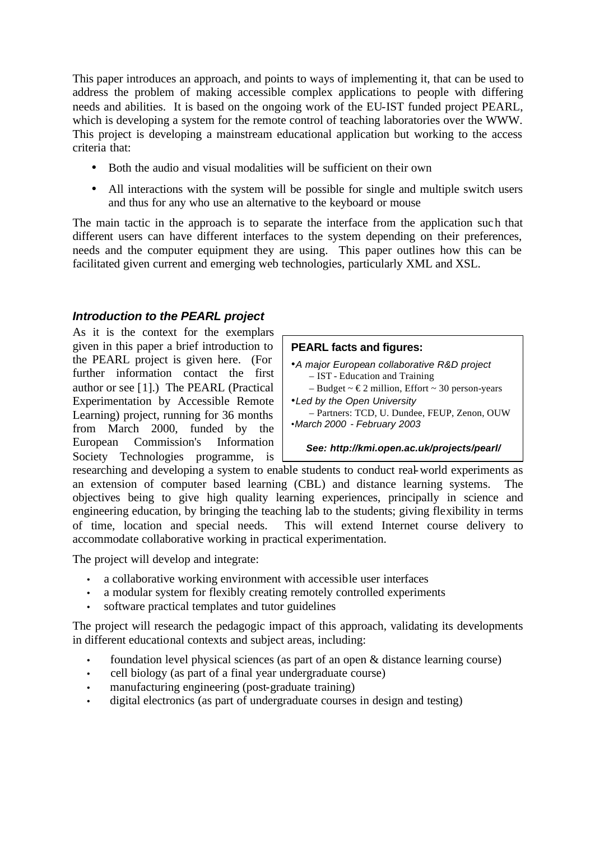This paper introduces an approach, and points to ways of implementing it, that can be used to address the problem of making accessible complex applications to people with differing needs and abilities. It is based on the ongoing work of the EU-IST funded project PEARL, which is developing a system for the remote control of teaching laboratories over the WWW. This project is developing a mainstream educational application but working to the access criteria that:

- Both the audio and visual modalities will be sufficient on their own
- All interactions with the system will be possible for single and multiple switch users and thus for any who use an alternative to the keyboard or mouse

The main tactic in the approach is to separate the interface from the application such that different users can have different interfaces to the system depending on their preferences, needs and the computer equipment they are using. This paper outlines how this can be facilitated given current and emerging web technologies, particularly XML and XSL.

# *Introduction to the PEARL project*

As it is the context for the exemplars given in this paper a brief introduction to the PEARL project is given here. (For further information contact the first author or see [1].) The PEARL (Practical Experimentation by Accessible Remote Learning) project, running for 36 months from March 2000, funded by the European Commission's Information Society Technologies programme, is

#### **PEARL facts and figures:**

- •*A major European collaborative R&D project* – IST - Education and Training
- $-$  Budget  $\sim \text{\textsterling}2$  million, Effort  $\sim 30$  person-years •*Led by the Open University* – Partners: TCD, U. Dundee, FEUP, Zenon, OUW
- •*March 2000 February 2003*

#### *See: http://kmi.open.ac.uk/projects/pearl/*

researching and developing a system to enable students to conduct real-world experiments as an extension of computer based learning (CBL) and distance learning systems. The objectives being to give high quality learning experiences, principally in science and engineering education, by bringing the teaching lab to the students; giving flexibility in terms of time, location and special needs. This will extend Internet course delivery to accommodate collaborative working in practical experimentation.

The project will develop and integrate:

- a collaborative working environment with accessible user interfaces
- a modular system for flexibly creating remotely controlled experiments
- software practical templates and tutor guidelines

The project will research the pedagogic impact of this approach, validating its developments in different educational contexts and subject areas, including:

- foundation level physical sciences (as part of an open & distance learning course)
- cell biology (as part of a final year undergraduate course)
- manufacturing engineering (post-graduate training)
- digital electronics (as part of undergraduate courses in design and testing)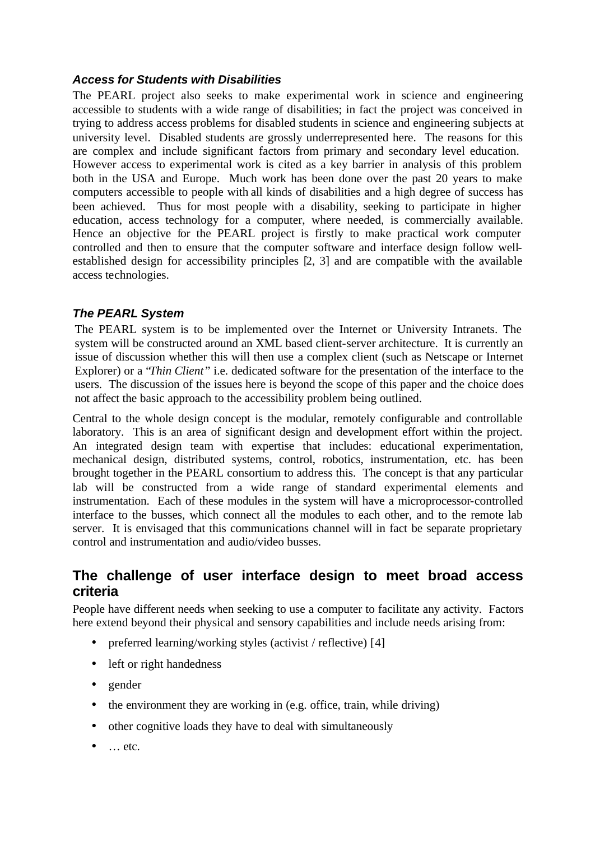## *Access for Students with Disabilities*

The PEARL project also seeks to make experimental work in science and engineering accessible to students with a wide range of disabilities; in fact the project was conceived in trying to address access problems for disabled students in science and engineering subjects at university level. Disabled students are grossly underrepresented here. The reasons for this are complex and include significant factors from primary and secondary level education. However access to experimental work is cited as a key barrier in analysis of this problem both in the USA and Europe. Much work has been done over the past 20 years to make computers accessible to people with all kinds of disabilities and a high degree of success has been achieved. Thus for most people with a disability, seeking to participate in higher education, access technology for a computer, where needed, is commercially available. Hence an objective for the PEARL project is firstly to make practical work computer controlled and then to ensure that the computer software and interface design follow wellestablished design for accessibility principles [2, 3] and are compatible with the available access technologies.

# *The PEARL System*

The PEARL system is to be implemented over the Internet or University Intranets. The system will be constructed around an XML based client-server architecture. It is currently an issue of discussion whether this will then use a complex client (such as Netscape or Internet Explorer) or a *'Thin Client'* i.e. dedicated software for the presentation of the interface to the users. The discussion of the issues here is beyond the scope of this paper and the choice does not affect the basic approach to the accessibility problem being outlined.

Central to the whole design concept is the modular, remotely configurable and controllable laboratory. This is an area of significant design and development effort within the project. An integrated design team with expertise that includes: educational experimentation, mechanical design, distributed systems, control, robotics, instrumentation, etc. has been brought together in the PEARL consortium to address this. The concept is that any particular lab will be constructed from a wide range of standard experimental elements and instrumentation. Each of these modules in the system will have a microprocessor-controlled interface to the busses, which connect all the modules to each other, and to the remote lab server. It is envisaged that this communications channel will in fact be separate proprietary control and instrumentation and audio/video busses.

# **The challenge of user interface design to meet broad access criteria**

People have different needs when seeking to use a computer to facilitate any activity. Factors here extend beyond their physical and sensory capabilities and include needs arising from:

- preferred learning/working styles (activist / reflective) [4]
- left or right handedness
- gender
- the environment they are working in (e.g. office, train, while driving)
- other cognitive loads they have to deal with simultaneously
- … etc.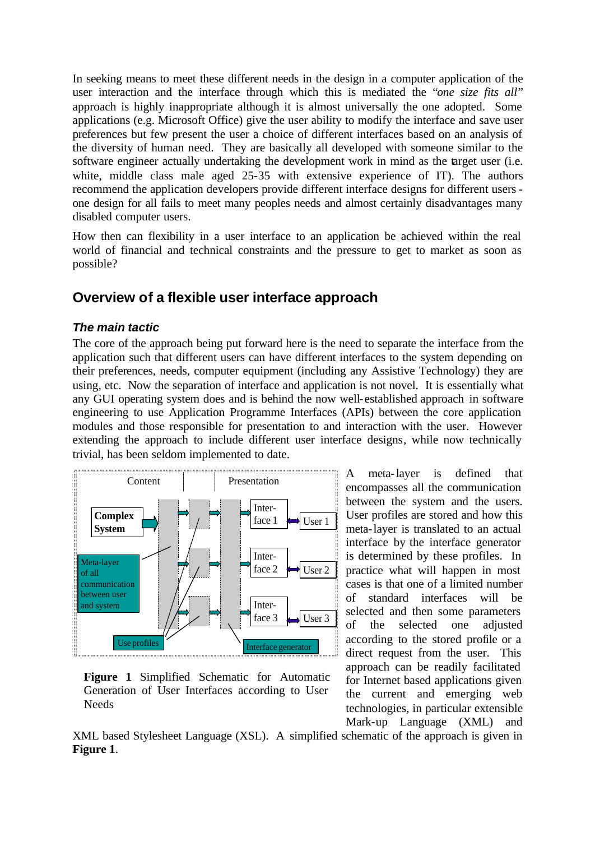In seeking means to meet these different needs in the design in a computer application of the user interaction and the interface through which this is mediated the "*one size fits all*" approach is highly inappropriate although it is almost universally the one adopted. Some applications (e.g. Microsoft Office) give the user ability to modify the interface and save user preferences but few present the user a choice of different interfaces based on an analysis of the diversity of human need. They are basically all developed with someone similar to the software engineer actually undertaking the development work in mind as the target user (i.e. white, middle class male aged 25-35 with extensive experience of IT). The authors recommend the application developers provide different interface designs for different users one design for all fails to meet many peoples needs and almost certainly disadvantages many disabled computer users.

How then can flexibility in a user interface to an application be achieved within the real world of financial and technical constraints and the pressure to get to market as soon as possible?

# **Overview of a flexible user interface approach**

#### *The main tactic*

The core of the approach being put forward here is the need to separate the interface from the application such that different users can have different interfaces to the system depending on their preferences, needs, computer equipment (including any Assistive Technology) they are using, etc. Now the separation of interface and application is not novel. It is essentially what any GUI operating system does and is behind the now well-established approach in software engineering to use Application Programme Interfaces (APIs) between the core application modules and those responsible for presentation to and interaction with the user. However extending the approach to include different user interface designs, while now technically trivial, has been seldom implemented to date.



**Figure 1** Simplified Schematic for Automatic Generation of User Interfaces according to User Needs

A meta-layer is defined that encompasses all the communication between the system and the users. User profiles are stored and how this meta-layer is translated to an actual interface by the interface generator is determined by these profiles. In practice what will happen in most cases is that one of a limited number of standard interfaces will be selected and then some parameters of the selected one adjusted according to the stored profile or a direct request from the user. This approach can be readily facilitated for Internet based applications given the current and emerging web technologies, in particular extensible Mark-up Language (XML) and

XML based Stylesheet Language (XSL). A simplified schematic of the approach is given in **Figure 1**.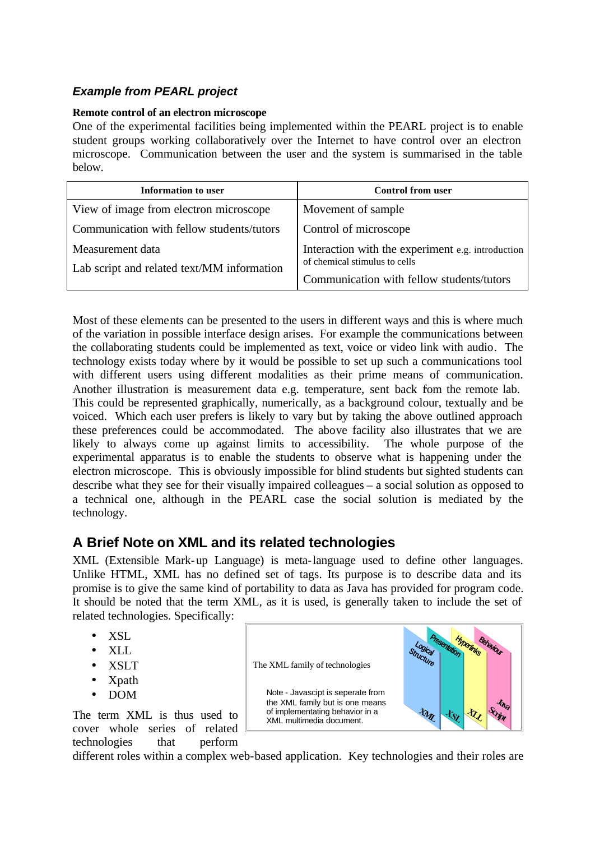# *Example from PEARL project*

#### **Remote control of an electron microscope**

One of the experimental facilities being implemented within the PEARL project is to enable student groups working collaboratively over the Internet to have control over an electron microscope. Communication between the user and the system is summarised in the table below.

| Information to user                                            | <b>Control from user</b>                                                                                                        |
|----------------------------------------------------------------|---------------------------------------------------------------------------------------------------------------------------------|
| View of image from electron microscope                         | Movement of sample                                                                                                              |
| Communication with fellow students/tutors                      | Control of microscope                                                                                                           |
| Measurement data<br>Lab script and related text/MM information | Interaction with the experiment e.g. introduction<br>of chemical stimulus to cells<br>Communication with fellow students/tutors |

Most of these elements can be presented to the users in different ways and this is where much of the variation in possible interface design arises. For example the communications between the collaborating students could be implemented as text, voice or video link with audio. The technology exists today where by it would be possible to set up such a communications tool with different users using different modalities as their prime means of communication. Another illustration is measurement data e.g. temperature, sent back fom the remote lab. This could be represented graphically, numerically, as a background colour, textually and be voiced. Which each user prefers is likely to vary but by taking the above outlined approach these preferences could be accommodated. The above facility also illustrates that we are likely to always come up against limits to accessibility. The whole purpose of the experimental apparatus is to enable the students to observe what is happening under the electron microscope. This is obviously impossible for blind students but sighted students can describe what they see for their visually impaired colleagues – a social solution as opposed to a technical one, although in the PEARL case the social solution is mediated by the technology.

# **A Brief Note on XML and its related technologies**

XML (Extensible Mark-up Language) is meta-language used to define other languages. Unlike HTML, XML has no defined set of tags. Its purpose is to describe data and its promise is to give the same kind of portability to data as Java has provided for program code. It should be noted that the term XML, as it is used, is generally taken to include the set of related technologies. Specifically:

- XSL
- XLL
- XSLT
- Xpath
- DOM

The term XML is thus used to cover whole series of related technologies that perform



different roles within a complex web-based application. Key technologies and their roles are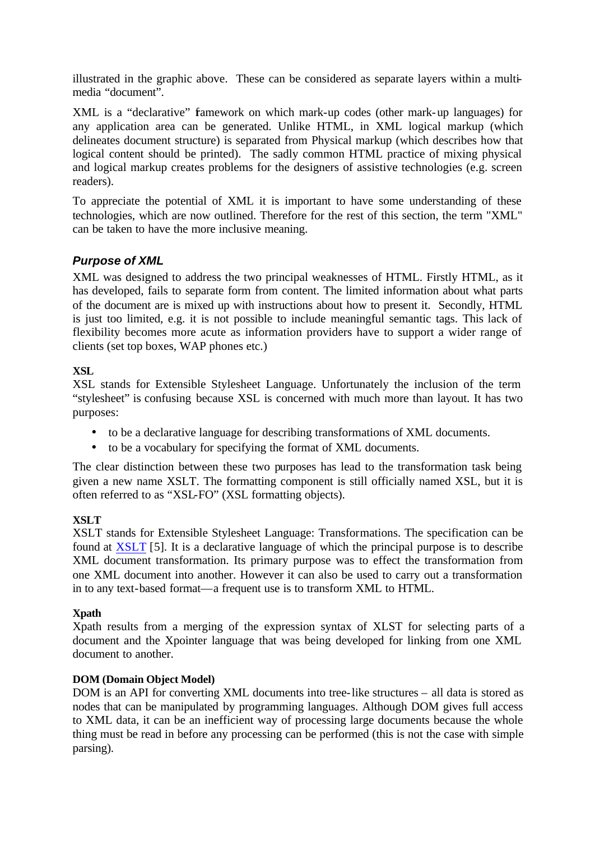illustrated in the graphic above. These can be considered as separate layers within a multimedia "document".

XML is a "declarative" famework on which mark-up codes (other mark-up languages) for any application area can be generated. Unlike HTML, in XML logical markup (which delineates document structure) is separated from Physical markup (which describes how that logical content should be printed). The sadly common HTML practice of mixing physical and logical markup creates problems for the designers of assistive technologies (e.g. screen readers).

To appreciate the potential of XML it is important to have some understanding of these technologies, which are now outlined. Therefore for the rest of this section, the term "XML" can be taken to have the more inclusive meaning.

# *Purpose of XML*

XML was designed to address the two principal weaknesses of HTML. Firstly HTML, as it has developed, fails to separate form from content. The limited information about what parts of the document are is mixed up with instructions about how to present it. Secondly, HTML is just too limited, e.g. it is not possible to include meaningful semantic tags. This lack of flexibility becomes more acute as information providers have to support a wider range of clients (set top boxes, WAP phones etc.)

## **XSL**

XSL stands for Extensible Stylesheet Language. Unfortunately the inclusion of the term "stylesheet" is confusing because XSL is concerned with much more than layout. It has two purposes:

- to be a declarative language for describing transformations of XML documents.
- to be a vocabulary for specifying the format of XML documents.

The clear distinction between these two purposes has lead to the transformation task being given a new name XSLT. The formatting component is still officially named XSL, but it is often referred to as "XSL-FO" (XSL formatting objects).

## **XSLT**

XSLT stands for Extensible Stylesheet Language: Transformations. The specification can be found at XSLT [5]. It is a declarative language of which the principal purpose is to describe XML document transformation. Its primary purpose was to effect the transformation from one XML document into another. However it can also be used to carry out a transformation in to any text-based format—a frequent use is to transform XML to HTML.

## **Xpath**

Xpath results from a merging of the expression syntax of XLST for selecting parts of a document and the Xpointer language that was being developed for linking from one XML document to another.

## **DOM (Domain Object Model)**

DOM is an API for converting XML documents into tree-like structures – all data is stored as nodes that can be manipulated by programming languages. Although DOM gives full access to XML data, it can be an inefficient way of processing large documents because the whole thing must be read in before any processing can be performed (this is not the case with simple parsing).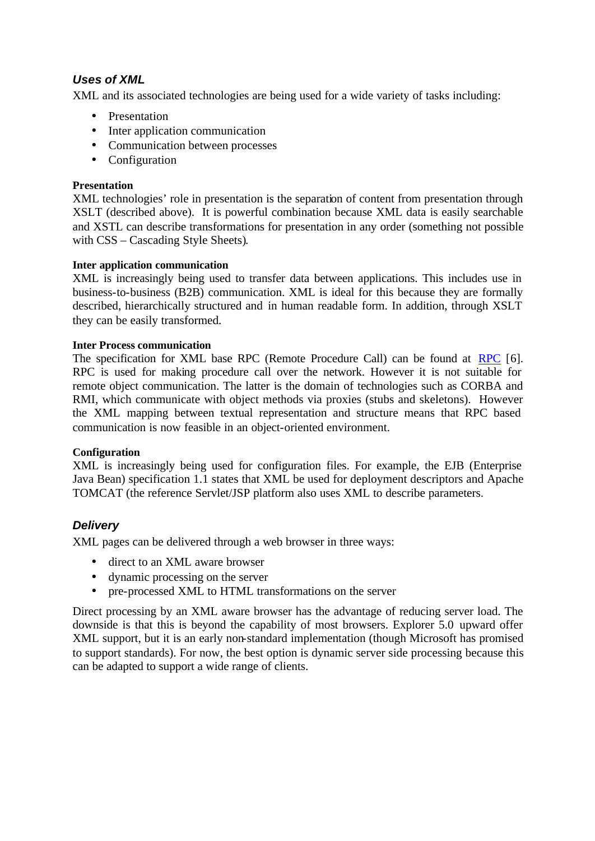# *Uses of XML*

XML and its associated technologies are being used for a wide variety of tasks including:

- Presentation
- Inter application communication
- Communication between processes
- Configuration

#### **Presentation**

XML technologies' role in presentation is the separation of content from presentation through XSLT (described above). It is powerful combination because XML data is easily searchable and XSTL can describe transformations for presentation in any order (something not possible with CSS – Cascading Style Sheets).

#### **Inter application communication**

XML is increasingly being used to transfer data between applications. This includes use in business-to-business (B2B) communication. XML is ideal for this because they are formally described, hierarchically structured and in human readable form. In addition, through XSLT they can be easily transformed.

#### **Inter Process communication**

The specification for XML base RPC (Remote Procedure Call) can be found at RPC [6]. RPC is used for making procedure call over the network. However it is not suitable for remote object communication. The latter is the domain of technologies such as CORBA and RMI, which communicate with object methods via proxies (stubs and skeletons). However the XML mapping between textual representation and structure means that RPC based communication is now feasible in an object-oriented environment.

## **Configuration**

XML is increasingly being used for configuration files. For example, the EJB (Enterprise Java Bean) specification 1.1 states that XML be used for deployment descriptors and Apache TOMCAT (the reference Servlet/JSP platform also uses XML to describe parameters.

# *Delivery*

XML pages can be delivered through a web browser in three ways:

- direct to an XML aware browser
- dynamic processing on the server
- pre-processed XML to HTML transformations on the server

Direct processing by an XML aware browser has the advantage of reducing server load. The downside is that this is beyond the capability of most browsers. Explorer 5.0 upward offer XML support, but it is an early non-standard implementation (though Microsoft has promised to support standards). For now, the best option is dynamic server side processing because this can be adapted to support a wide range of clients.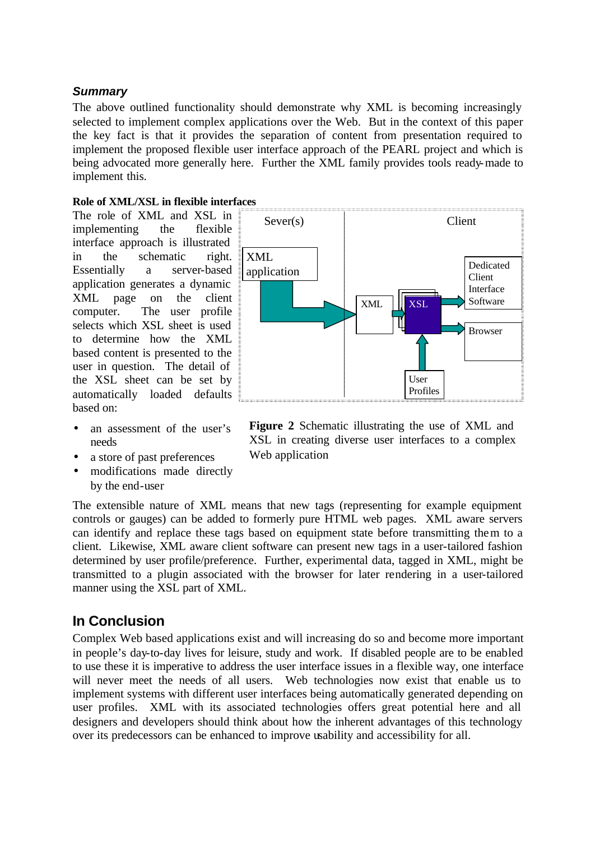## *Summary*

The above outlined functionality should demonstrate why XML is becoming increasingly selected to implement complex applications over the Web. But in the context of this paper the key fact is that it provides the separation of content from presentation required to implement the proposed flexible user interface approach of the PEARL project and which is being advocated more generally here. Further the XML family provides tools ready-made to implement this.

#### **Role of XML/XSL in flexible interfaces**

The role of XML and XSL in implementing the flexible interface approach is illustrated in the schematic right. Essentially a server-based application generates a dynamic XML page on the client computer. The user profile selects which XSL sheet is used to determine how the XML based content is presented to the user in question. The detail of the XSL sheet can be set by automatically loaded defaults based on:

- an assessment of the user's needs
- a store of past preferences
- modifications made directly by the end-user



**Figure 2** Schematic illustrating the use of XML and XSL in creating diverse user interfaces to a complex Web application

The extensible nature of XML means that new tags (representing for example equipment controls or gauges) can be added to formerly pure HTML web pages. XML aware servers can identify and replace these tags based on equipment state before transmitting them to a client. Likewise, XML aware client software can present new tags in a user-tailored fashion determined by user profile/preference. Further, experimental data, tagged in XML, might be transmitted to a plugin associated with the browser for later rendering in a user-tailored manner using the XSL part of XML.

# **In Conclusion**

Complex Web based applications exist and will increasing do so and become more important in people's day-to-day lives for leisure, study and work. If disabled people are to be enabled to use these it is imperative to address the user interface issues in a flexible way, one interface will never meet the needs of all users. Web technologies now exist that enable us to implement systems with different user interfaces being automatically generated depending on user profiles. XML with its associated technologies offers great potential here and all designers and developers should think about how the inherent advantages of this technology over its predecessors can be enhanced to improve usability and accessibility for all.